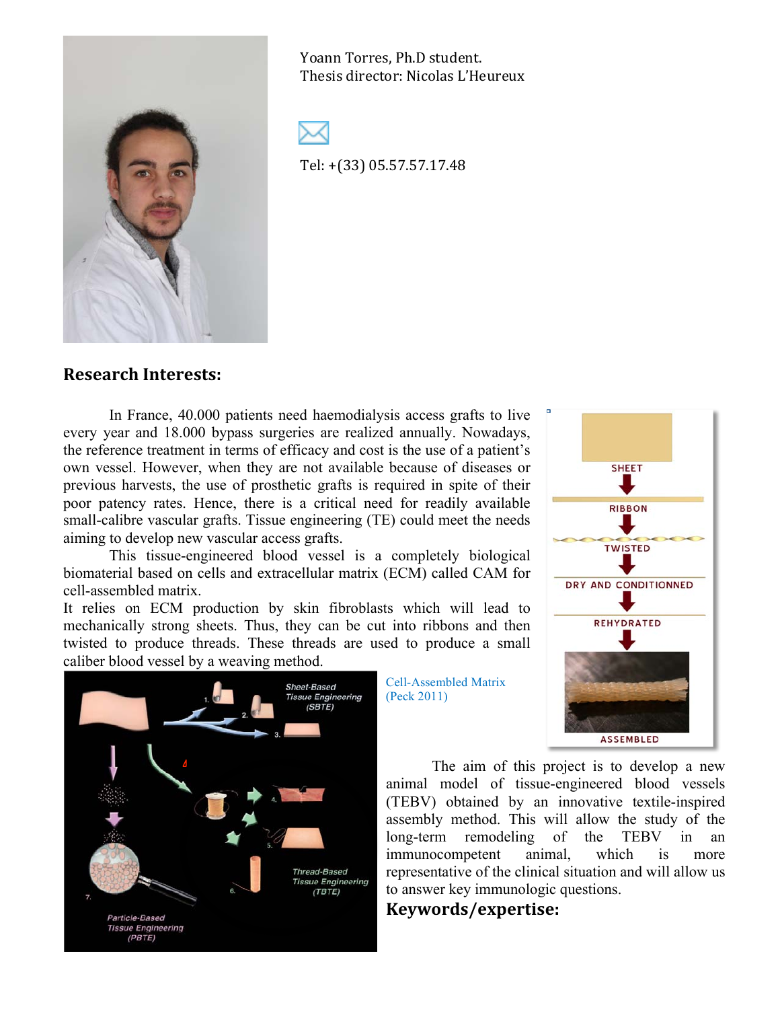

Yoann Torres, Ph.D student. Thesis director: Nicolas L'Heureux



Tel: +(33) 05.57.57.17.48

## **Research!Interests:**

In France, 40.000 patients need haemodialysis access grafts to live every year and 18.000 bypass surgeries are realized annually. Nowadays, the reference treatment in terms of efficacy and cost is the use of a patient's own vessel. However, when they are not available because of diseases or previous harvests, the use of prosthetic grafts is required in spite of their poor patency rates. Hence, there is a critical need for readily available small-calibre vascular grafts. Tissue engineering (TE) could meet the needs aiming to develop new vascular access grafts.

This tissue-engineered blood vessel is a completely biological biomaterial based on cells and extracellular matrix (ECM) called CAM for cell-assembled matrix.

It relies on ECM production by skin fibroblasts which will lead to mechanically strong sheets. Thus, they can be cut into ribbons and then twisted to produce threads. These threads are used to produce a small caliber blood vessel by a weaving method.



Cell-Assembled Matrix (Peck 2011)



The aim of this project is to develop a new animal model of tissue-engineered blood vessels (TEBV) obtained by an innovative textile-inspired assembly method. This will allow the study of the long-term remodeling of the TEBV in an immunocompetent animal, which is more representative of the clinical situation and will allow us to answer key immunologic questions.

## **Keywords/expertise:**